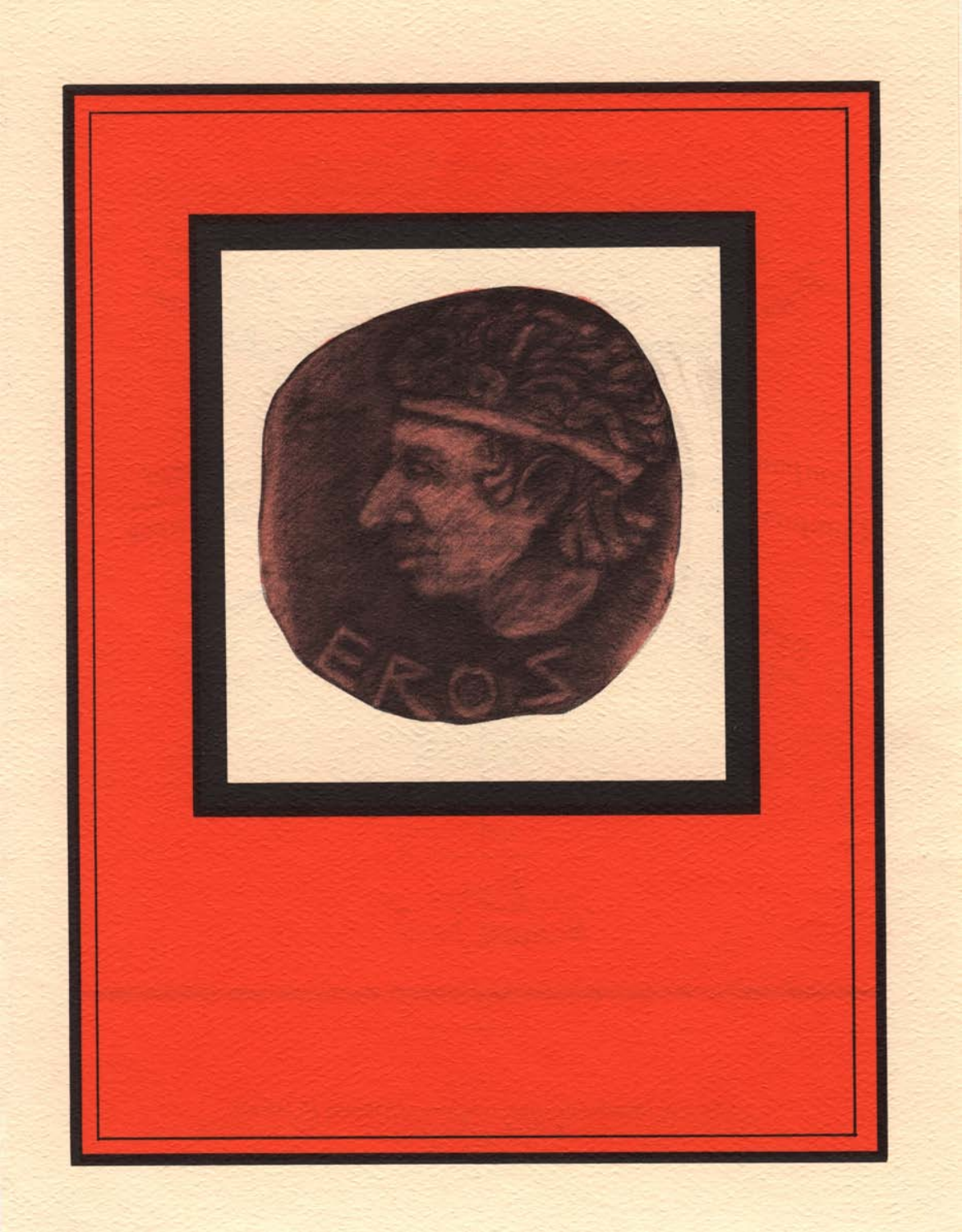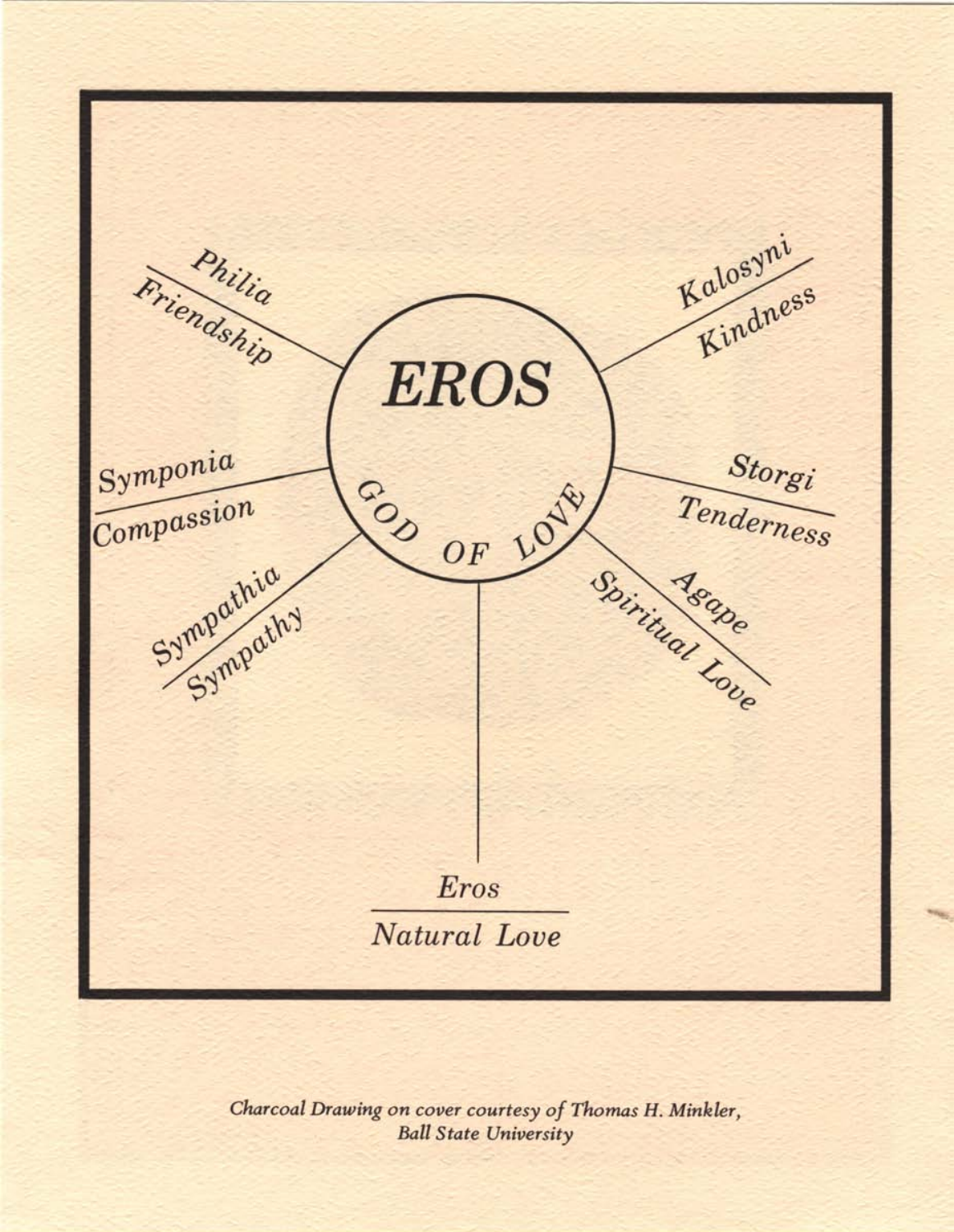

*Charcoal Drawing on cover courtesy of Thomas H. Minkler, Ball State University*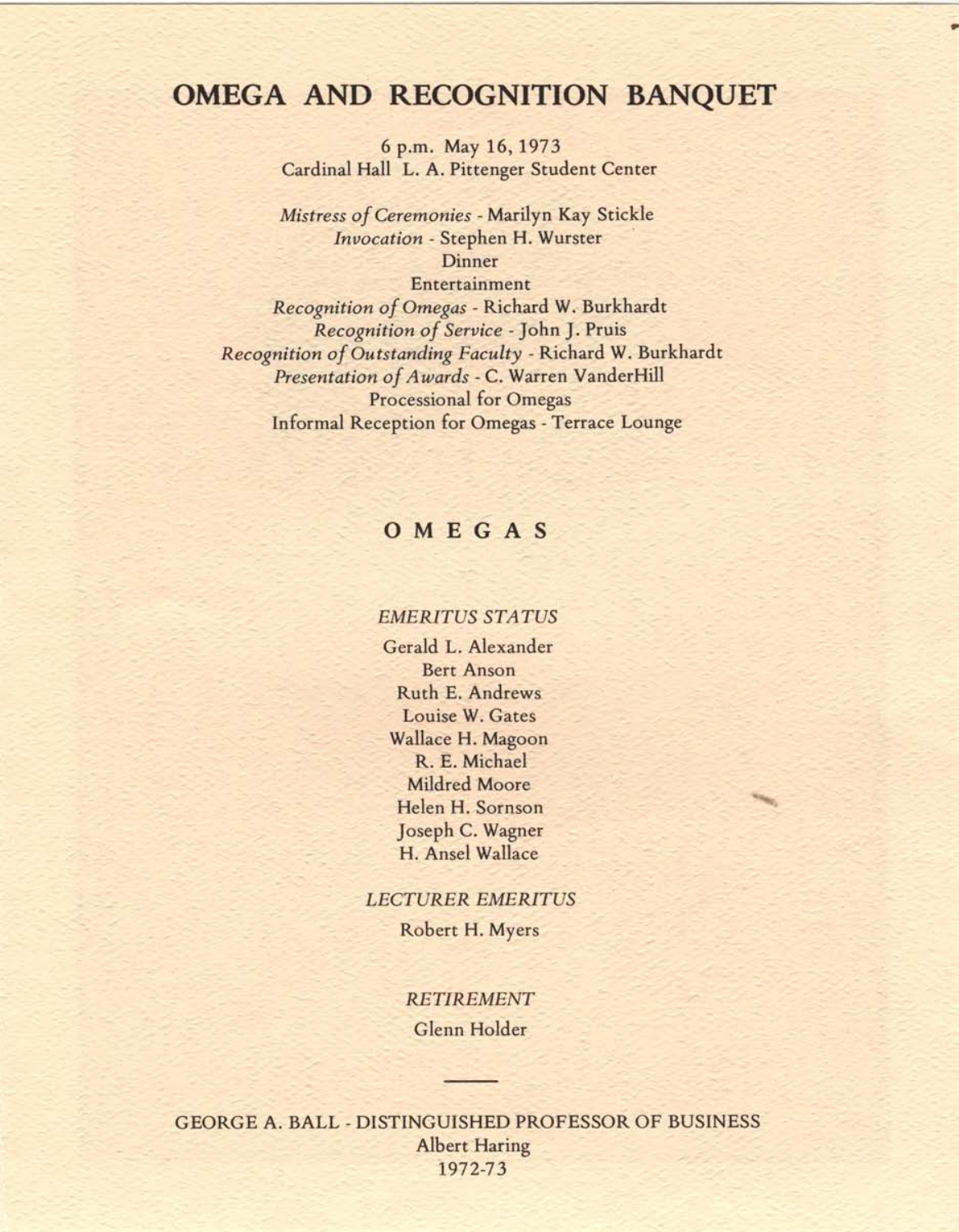# **OMEGA AND RECOGNITION BANQUET**

۰

6 p.m. May 16, 1973 Cardinal Hall L. A. Pittenger Student Center

*Mistress of Ceremonies -* Marilyn Kay Stickle *Invocation -* Stephen H. Wurster Dinner

Entertainment *Recognition of Omegas -* Richard W. Burkhardt *Recognition of Service -* John J. Pruis *Recognition of Outstanding Faculty -* Richard W. Burkhardt *Presentation of Awards -* C. Warren VanderHill Processional for Omegas Informal Reception for Omegas - Terrace Lounge

### OMEGAS

#### *EMERITUS STATUS*

Gerald L. Alexander Bert Anson Ruth E. Andrews Louise W. Gates Wallace H. Magoon R. E. Michael Mildred Moore Helen H. Sornson Joseph C. Wagner H. Ansel Wallace

#### *LECTURER EMERITUS*

Robert H. Myers

### *RETIREMENT*

Glenn Holder

GEORGE A. BALL - DISTINGUISHED PROFESSOR OF BUSINESS Albert Haring 1972-73